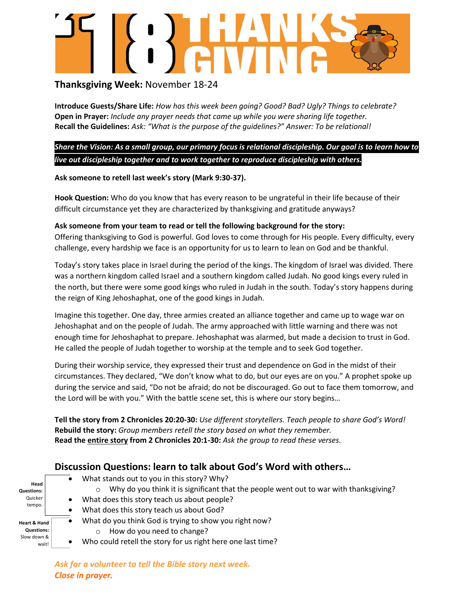# **AWAY**

## **Thanksgiving Week:** November 18-24

**Introduce Guests/Share Life:** *How has this week been going? Good? Bad? Ugly? Things to celebrate?* **Open in Prayer:** *Include any prayer needs that came up while you were sharing life together.* **Recall the Guidelines:** *Ask: "What is the purpose of the guidelines?" Answer: To be relational!*

*Share the Vision: As a small group, our primary focus is relational discipleship. Our goal is to learn how to live out discipleship together and to work together to reproduce discipleship with others.*

### **Ask someone to retell last week's story (Mark 9:30-37).**

**Hook Question:** Who do you know that has every reason to be ungrateful in their life because of their difficult circumstance yet they are characterized by thanksgiving and gratitude anyways?

### **Ask someone from your team to read or tell the following background for the story:**

Offering thanksgiving to God is powerful. God loves to come through for His people. Every difficulty, every challenge, every hardship we face is an opportunity for us to learn to lean on God and be thankful.

Today's story takes place in Israel during the period of the kings. The kingdom of Israel was divided. There was a northern kingdom called Israel and a southern kingdom called Judah. No good kings every ruled in the north, but there were some good kings who ruled in Judah in the south. Today's story happens during the reign of King Jehoshaphat, one of the good kings in Judah.

Imagine this together. One day, three armies created an alliance together and came up to wage war on Jehoshaphat and on the people of Judah. The army approached with little warning and there was not enough time for Jehoshaphat to prepare. Jehoshaphat was alarmed, but made a decision to trust in God. He called the people of Judah together to worship at the temple and to seek God together.

During their worship service, they expressed their trust and dependence on God in the midst of their circumstances. They declared, "We don't know what to do, but our eyes are on you." A prophet spoke up during the service and said, "Do not be afraid; do not be discouraged. Go out to face them tomorrow, and the Lord will be with you." With the battle scene set, this is where our story begins…

**Tell the story from 2 Chronicles 20:20-30:** *Use different storytellers. Teach people to share God's Word!* **Rebuild the story:** *Group members retell the story based on what they remember.* **Read the entire story from 2 Chronicles 20:1-30:** *Ask the group to read these verses.*

## **Discussion Questions: learn to talk about God's Word with others…**

**Head** 

**Questions:** Quicker tempo.

**Heart & Hand Questions:**  Slow down & wait!

- What stands out to you in this story? Why?
	- $\circ$  Why do you think it is significant that the people went out to war with thanksgiving?
- What does this story teach us about people?
	- What does this story teach us about God?
- What do you think God is trying to show you right now?
	- o How do you need to change?
- Who could retell the story for us right here one last time?

*Ask for a volunteer to tell the Bible story next week. Close in prayer.*